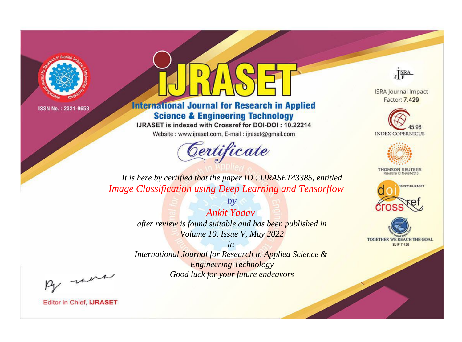

# **International Journal for Research in Applied Science & Engineering Technology**

IJRASET is indexed with Crossref for DOI-DOI: 10.22214

Website: www.ijraset.com, E-mail: ijraset@gmail.com



JERA

**ISRA Journal Impact** Factor: 7.429





**THOMSON REUTERS** 



TOGETHER WE REACH THE GOAL **SJIF 7.429** 

*It is here by certified that the paper ID : IJRASET43385, entitled Image Classification using Deep Learning and Tensorflow*

> *by Ankit Yadav after review is found suitable and has been published in Volume 10, Issue V, May 2022*

> > *in*

*International Journal for Research in Applied Science & Engineering Technology Good luck for your future endeavors*

By morn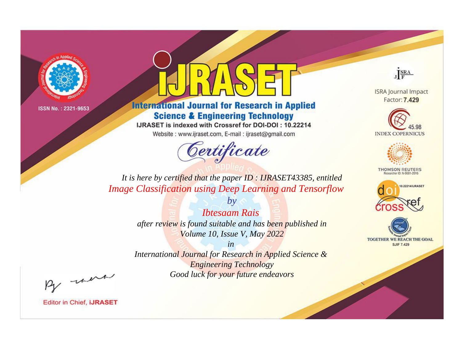

# **International Journal for Research in Applied Science & Engineering Technology**

IJRASET is indexed with Crossref for DOI-DOI: 10.22214

Website: www.ijraset.com, E-mail: ijraset@gmail.com



JERA

**ISRA Journal Impact** Factor: 7.429





**THOMSON REUTERS** 



TOGETHER WE REACH THE GOAL **SJIF 7.429** 

*It is here by certified that the paper ID : IJRASET43385, entitled Image Classification using Deep Learning and Tensorflow*

> *by Ibtesaam Rais after review is found suitable and has been published in Volume 10, Issue V, May 2022*

> > *in*

*International Journal for Research in Applied Science & Engineering Technology Good luck for your future endeavors*

By morn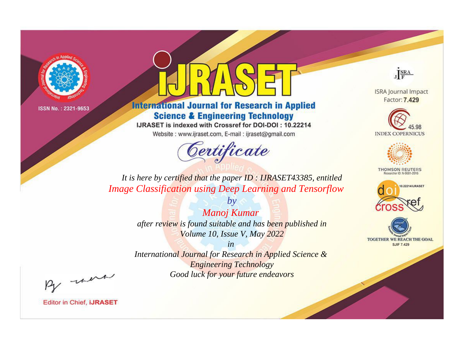

# **International Journal for Research in Applied Science & Engineering Technology**

IJRASET is indexed with Crossref for DOI-DOI: 10.22214

Website: www.ijraset.com, E-mail: ijraset@gmail.com



JERA

**ISRA Journal Impact** Factor: 7.429





**THOMSON REUTERS** 



TOGETHER WE REACH THE GOAL **SJIF 7.429** 

*It is here by certified that the paper ID : IJRASET43385, entitled Image Classification using Deep Learning and Tensorflow*

> *by Manoj Kumar after review is found suitable and has been published in Volume 10, Issue V, May 2022*

> > *in*

*International Journal for Research in Applied Science & Engineering Technology Good luck for your future endeavors*

By morn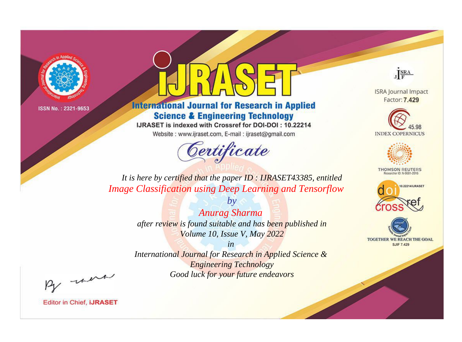

# **International Journal for Research in Applied Science & Engineering Technology**

IJRASET is indexed with Crossref for DOI-DOI: 10.22214

Website: www.ijraset.com, E-mail: ijraset@gmail.com



JERA

**ISRA Journal Impact** Factor: 7.429





**THOMSON REUTERS** 



TOGETHER WE REACH THE GOAL **SJIF 7.429** 

*It is here by certified that the paper ID : IJRASET43385, entitled Image Classification using Deep Learning and Tensorflow*

> *by Anurag Sharma after review is found suitable and has been published in Volume 10, Issue V, May 2022*

> > *in*

*International Journal for Research in Applied Science & Engineering Technology Good luck for your future endeavors*

By morn